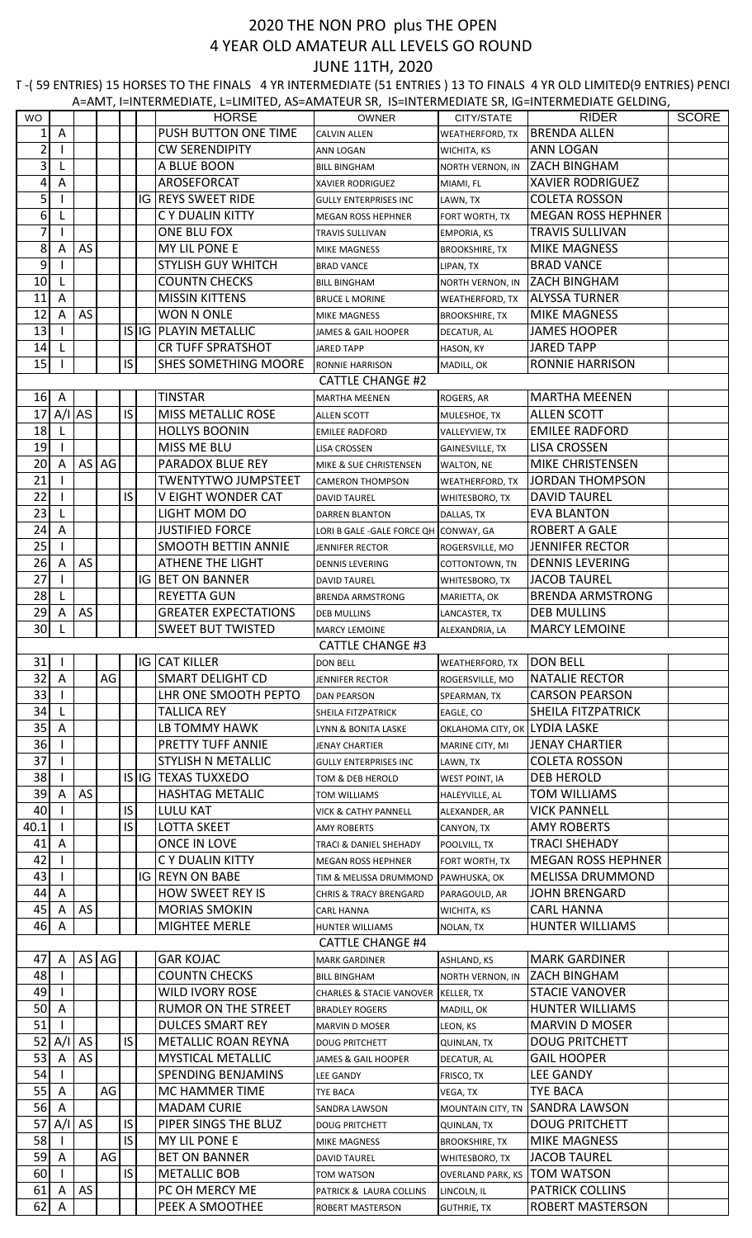## 2020 THE NON PRO plus THE OPEN 4 YEAR OLD AMATEUR ALL LEVELS GO ROUND JUNE 11TH, 2020

A=AMT, I=INTERMEDIATE, L=LIMITED, AS=AMATEUR SR, IS=INTERMEDIATE SR, IG=INTERMEDIATE GELDING, T-(59 ENTRIES) 15 HORSES TO THE FINALS 4 YR INTERMEDIATE (51 ENTRIES) 13 TO FINALS 4 YR OLD LIMITED(9 ENTRIES) PENCI

| <b>WO</b>      |         |           |       |     |    | <b>HORSE</b>                          | <b>OWNER</b>                                      | CITY/STATE                                 | <b>RIDER</b>                               | SCORE |
|----------------|---------|-----------|-------|-----|----|---------------------------------------|---------------------------------------------------|--------------------------------------------|--------------------------------------------|-------|
| 1              | Α       |           |       |     |    | PUSH BUTTON ONE TIME                  | <b>CALVIN ALLEN</b>                               | WEATHERFORD, TX                            | <b>BRENDA ALLEN</b>                        |       |
| $\overline{2}$ |         |           |       |     |    | <b>CW SERENDIPITY</b>                 | <b>ANN LOGAN</b>                                  | WICHITA, KS                                | <b>ANN LOGAN</b>                           |       |
| 3              |         |           |       |     |    | A BLUE BOON                           | <b>BILL BINGHAM</b>                               | NORTH VERNON, IN                           | <b>ZACH BINGHAM</b>                        |       |
| 4              | Α       |           |       |     |    | AROSEFORCAT                           | <b>XAVIER RODRIGUEZ</b>                           | MIAMI, FL                                  | <b>XAVIER RODRIGUEZ</b>                    |       |
| 5              |         |           |       |     |    | <b>IG REYS SWEET RIDE</b>             | <b>GULLY ENTERPRISES INC</b>                      | LAWN, TX                                   | <b>COLETA ROSSON</b>                       |       |
| 6              | L.      |           |       |     |    | C Y DUALIN KITTY                      | MEGAN ROSS HEPHNER                                | FORT WORTH, TX                             | <b>MEGAN ROSS HEPHNER</b>                  |       |
| 7              |         |           |       |     |    | ONE BLU FOX                           | TRAVIS SULLIVAN                                   | EMPORIA, KS                                | TRAVIS SULLIVAN                            |       |
| 8              | A       | AS        |       |     |    | MY LIL PONE E                         | MIKE MAGNESS                                      | <b>BROOKSHIRE, TX</b>                      | <b>MIKE MAGNESS</b>                        |       |
| 9              |         |           |       |     |    | <b>STYLISH GUY WHITCH</b>             | <b>BRAD VANCE</b>                                 |                                            | <b>BRAD VANCE</b>                          |       |
| 10             |         |           |       |     |    | <b>COUNTN CHECKS</b>                  |                                                   | LIPAN, TX                                  | <b>ZACH BINGHAM</b>                        |       |
| 11             | L.<br>Α |           |       |     |    | <b>MISSIN KITTENS</b>                 | <b>BILL BINGHAM</b>                               | NORTH VERNON, IN                           | <b>ALYSSA TURNER</b>                       |       |
| 12             |         | AS        |       |     |    | WON N ONLE                            | <b>BRUCE L MORINE</b>                             | WEATHERFORD, TX                            | <b>MIKE MAGNESS</b>                        |       |
| 13             | A       |           |       |     |    | IS IG PLAYIN METALLIC                 | MIKE MAGNESS                                      | <b>BROOKSHIRE, TX</b>                      | <b>JAMES HOOPER</b>                        |       |
| 14             |         |           |       |     |    | <b>CR TUFF SPRATSHOT</b>              | JAMES & GAIL HOOPER<br><b>JARED TAPP</b>          | DECATUR, AL<br>HASON, KY                   | <b>JARED TAPP</b>                          |       |
| 15             |         |           |       | IS  |    | SHES SOMETHING MOORE                  |                                                   |                                            | <b>RONNIE HARRISON</b>                     |       |
|                |         |           |       |     |    |                                       | <b>RONNIE HARRISON</b><br><b>CATTLE CHANGE #2</b> | MADILL, OK                                 |                                            |       |
|                | $16$ A  |           |       |     |    | <b>TINSTAR</b>                        |                                                   |                                            | <b>MARTHA MEENEN</b>                       |       |
|                |         |           |       | IS. |    |                                       | <b>MARTHA MEENEN</b>                              | ROGERS, AR                                 |                                            |       |
| 17             | A/I     | <b>AS</b> |       |     |    | <b>MISS METALLIC ROSE</b>             | <b>ALLEN SCOTT</b>                                | MULESHOE, TX                               | <b>ALLEN SCOTT</b>                         |       |
| 18             |         |           |       |     |    | <b>HOLLYS BOONIN</b>                  | EMILEE RADFORD                                    | VALLEYVIEW, TX                             | <b>EMILEE RADFORD</b>                      |       |
| 19             |         |           |       |     |    | MISS ME BLU                           | <b>LISA CROSSEN</b>                               | <b>GAINESVILLE, TX</b>                     | <b>LISA CROSSEN</b>                        |       |
| 20             | A       |           | AS AG |     |    | PARADOX BLUE REY                      | MIKE & SUE CHRISTENSEN                            | WALTON, NE                                 | MIKE CHRISTENSEN                           |       |
| 21             |         |           |       |     |    | <b>TWENTYTWO JUMPSTEET</b>            | <b>CAMERON THOMPSON</b>                           | WEATHERFORD, TX                            | <b>JORDAN THOMPSON</b>                     |       |
| 22             |         |           |       | IS. |    | V EIGHT WONDER CAT                    | DAVID TAUREL                                      | WHITESBORO, TX                             | <b>DAVID TAUREL</b>                        |       |
| 23             | L       |           |       |     |    | LIGHT MOM DO                          | DARREN BLANTON                                    | DALLAS, TX                                 | <b>EVA BLANTON</b>                         |       |
| 24             | A       |           |       |     |    | <b>JUSTIFIED FORCE</b>                | LORI B GALE - GALE FORCE QH CONWAY, GA            |                                            | <b>ROBERT A GALE</b>                       |       |
| 25             |         |           |       |     |    | <b>SMOOTH BETTIN ANNIE</b>            | JENNIFER RECTOR                                   | ROGERSVILLE, MO                            | <b>JENNIFER RECTOR</b>                     |       |
| 26             | A       | AS        |       |     |    | <b>ATHENE THE LIGHT</b>               | DENNIS LEVERING                                   | COTTONTOWN, TN                             | <b>DENNIS LEVERING</b>                     |       |
| 27             |         |           |       |     | IG | <b>BET ON BANNER</b>                  | <b>DAVID TAUREL</b>                               | WHITESBORO, TX                             | <b>JACOB TAUREL</b>                        |       |
| 28             |         |           |       |     |    | <b>REYETTA GUN</b>                    | <b>BRENDA ARMSTRONG</b>                           | MARIETTA, OK                               | <b>BRENDA ARMSTRONG</b>                    |       |
| 29             | A       | AS        |       |     |    | <b>GREATER EXPECTATIONS</b>           | <b>DEB MULLINS</b>                                | LANCASTER, TX                              | <b>DEB MULLINS</b>                         |       |
| 30             |         |           |       |     |    | <b>SWEET BUT TWISTED</b>              | <b>MARCY LEMOINE</b>                              | ALEXANDRIA, LA                             | <b>MARCY LEMOINE</b>                       |       |
|                |         |           |       |     |    |                                       | <b>CATTLE CHANGE #3</b>                           |                                            |                                            |       |
| 31             |         |           |       |     |    | IG JCAT KILLER                        | <b>DON BELL</b>                                   | WEATHERFORD, TX                            | <b>JDON BELL</b>                           |       |
| 32             | Α       |           | AG    |     |    | <b>SMART DELIGHT CD</b>               | <b>JENNIFER RECTOR</b>                            | ROGERSVILLE, MO                            | <b>NATALIE RECTOR</b>                      |       |
| 33             |         |           |       |     |    | LHR ONE SMOOTH PEPTO                  | <b>DAN PEARSON</b>                                | SPEARMAN, TX                               | <b>CARSON PEARSON</b>                      |       |
| 34             | L.      |           |       |     |    | <b>TALLICA REY</b>                    | SHEILA FITZPATRICK                                | EAGLE, CO                                  | SHEILA FITZPATRICK                         |       |
| 35             | Α       |           |       |     |    | LB TOMMY HAWK                         | LYNN & BONITA LASKE                               | OKLAHOMA CITY, OK LYDIA LASKE              |                                            |       |
| 36             |         |           |       |     |    | PRETTY TUFF ANNIE                     | <b>JENAY CHARTIER</b>                             | MARINE CITY, MI                            | <b>JENAY CHARTIER</b>                      |       |
| 37             |         |           |       |     |    | STYLISH N METALLIC                    | <b>GULLY ENTERPRISES INC</b>                      | LAWN, TX                                   | <b>COLETA ROSSON</b>                       |       |
| 38             |         |           |       |     |    | IS IG TEXAS TUXXEDO                   | TOM & DEB HEROLD                                  | <b>WEST POINT, IA</b>                      | <b>DEB HEROLD</b>                          |       |
| 39             | A       | AS        |       |     |    | <b>HASHTAG METALIC</b>                | <b>TOM WILLIAMS</b>                               | HALEYVILLE, AL                             | TOM WILLIAMS                               |       |
| 40             |         |           |       | IS  |    | <b>LULU KAT</b>                       | <b>VICK &amp; CATHY PANNELL</b>                   | ALEXANDER, AR                              | <b>VICK PANNELL</b>                        |       |
| 40.1           |         |           |       | IS  |    | <b>LOTTA SKEET</b>                    | <b>AMY ROBERTS</b>                                | CANYON, TX                                 | <b>AMY ROBERTS</b>                         |       |
| 41             | Α       |           |       |     |    | ONCE IN LOVE                          | TRACI & DANIEL SHEHADY                            | POOLVILL, TX                               | <b>TRACI SHEHADY</b>                       |       |
| 42             |         |           |       |     |    | C Y DUALIN KITTY                      | MEGAN ROSS HEPHNER                                | FORT WORTH, TX                             | <b>MEGAN ROSS HEPHNER</b>                  |       |
| 43             |         |           |       |     |    | <b>IG REYN ON BABE</b>                | TIM & MELISSA DRUMMOND PAWHUSKA, OK               |                                            | MELISSA DRUMMOND                           |       |
| 44             | Α       |           |       |     |    | HOW SWEET REY IS                      | <b>CHRIS &amp; TRACY BRENGARD</b>                 | PARAGOULD, AR                              | <b>JOHN BRENGARD</b>                       |       |
| 45             | Α       | AS        |       |     |    | <b>MORIAS SMOKIN</b>                  | CARL HANNA                                        | WICHITA, KS                                | <b>CARL HANNA</b>                          |       |
| 46             | A       |           |       |     |    | MIGHTEE MERLE                         | HUNTER WILLIAMS                                   | NOLAN, TX                                  | <b>HUNTER WILLIAMS</b>                     |       |
|                |         |           |       |     |    |                                       | <b>CATTLE CHANGE #4</b>                           |                                            |                                            |       |
| 47             | A       |           | AS AG |     |    | <b>GAR KOJAC</b>                      | <b>MARK GARDINER</b>                              | ASHLAND, KS                                | <b>MARK GARDINER</b>                       |       |
| 48             |         |           |       |     |    | <b>COUNTN CHECKS</b>                  | <b>BILL BINGHAM</b>                               | NORTH VERNON, IN                           | <b>ZACH BINGHAM</b>                        |       |
| 49             |         |           |       |     |    | WILD IVORY ROSE                       | CHARLES & STACIE VANOVER KELLER, TX               |                                            | <b>STACIE VANOVER</b>                      |       |
| 50             | A       |           |       |     |    | <b>RUMOR ON THE STREET</b>            | <b>BRADLEY ROGERS</b>                             | MADILL, OK                                 | <b>HUNTER WILLIAMS</b>                     |       |
| 51             |         |           |       |     |    | <b>DULCES SMART REY</b>               | <b>MARVIN D MOSER</b>                             | LEON, KS                                   | <b>MARVIN D MOSER</b>                      |       |
| 52             | A/I     | AS        |       | IS. |    | <b>METALLIC ROAN REYNA</b>            | <b>DOUG PRITCHETT</b>                             | <b>QUINLAN, TX</b>                         | <b>DOUG PRITCHETT</b>                      |       |
| 53             | A       | AS        |       |     |    | <b>MYSTICAL METALLIC</b>              | JAMES & GAIL HOOPER                               | DECATUR, AL                                | <b>GAIL HOOPER</b>                         |       |
| 54             |         |           |       |     |    | <b>SPENDING BENJAMINS</b>             | <b>LEE GANDY</b>                                  | FRISCO, TX                                 | LEE GANDY                                  |       |
| 55             | Α       |           | AG    |     |    | MC HAMMER TIME                        | <b>TYE BACA</b>                                   | VEGA, TX                                   | <b>TYE BACA</b>                            |       |
| 56             | A       |           |       |     |    | <b>MADAM CURIE</b>                    |                                                   | MOUNTAIN CITY, TN                          | <b>SANDRA LAWSON</b>                       |       |
| 57             | A/I     | AS        |       | IS  |    | PIPER SINGS THE BLUZ                  | SANDRA LAWSON                                     |                                            | <b>DOUG PRITCHETT</b>                      |       |
| 58             |         |           |       | IS. |    |                                       | <b>DOUG PRITCHETT</b>                             | QUINLAN, TX                                |                                            |       |
| 59             |         |           | AG    |     |    | MY LIL PONE E<br><b>BET ON BANNER</b> | <b>MIKE MAGNESS</b>                               | <b>BROOKSHIRE, TX</b>                      | <b>MIKE MAGNESS</b><br><b>JACOB TAUREL</b> |       |
| 60             | Α       |           |       | IS. |    | <b>METALLIC BOB</b>                   | <b>DAVID TAUREL</b>                               | WHITESBORO, TX<br><b>OVERLAND PARK, KS</b> | <b>TOM WATSON</b>                          |       |
| 61             |         | AS        |       |     |    | PC OH MERCY ME                        | <b>TOM WATSON</b>                                 |                                            | <b>PATRICK COLLINS</b>                     |       |
| 62             | A<br>A  |           |       |     |    |                                       | PATRICK & LAURA COLLINS                           | LINCOLN, IL                                | <b>ROBERT MASTERSON</b>                    |       |
|                |         |           |       |     |    | PEEK A SMOOTHEE                       | <b>ROBERT MASTERSON</b>                           | <b>GUTHRIE, TX</b>                         |                                            |       |